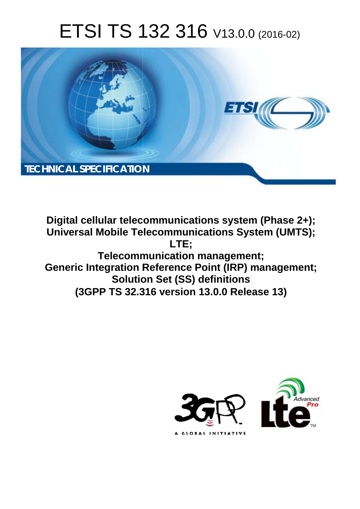# ETSI TS 132 316 V13.0.0 (2016-02)



**Digital cellular telecommunications system (Phase 2+); Universal Mobile Tel elecommunications System ( (UMTS); Telecomm munication management; Generic Integration Reference Point (IRP) management; Solutio tion Set (SS) definitions (3GPP TS 32.3 .316 version 13.0.0 Release 13 13) LTE;** 

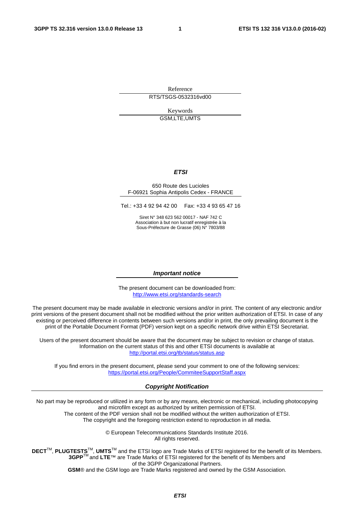Reference RTS/TSGS-0532316vd00

> Keywords GSM,LTE,UMTS

#### *ETSI*

#### 650 Route des Lucioles F-06921 Sophia Antipolis Cedex - FRANCE

Tel.: +33 4 92 94 42 00 Fax: +33 4 93 65 47 16

Siret N° 348 623 562 00017 - NAF 742 C Association à but non lucratif enregistrée à la Sous-Préfecture de Grasse (06) N° 7803/88

#### *Important notice*

The present document can be downloaded from: <http://www.etsi.org/standards-search>

The present document may be made available in electronic versions and/or in print. The content of any electronic and/or print versions of the present document shall not be modified without the prior written authorization of ETSI. In case of any existing or perceived difference in contents between such versions and/or in print, the only prevailing document is the print of the Portable Document Format (PDF) version kept on a specific network drive within ETSI Secretariat.

Users of the present document should be aware that the document may be subject to revision or change of status. Information on the current status of this and other ETSI documents is available at <http://portal.etsi.org/tb/status/status.asp>

If you find errors in the present document, please send your comment to one of the following services: <https://portal.etsi.org/People/CommiteeSupportStaff.aspx>

#### *Copyright Notification*

No part may be reproduced or utilized in any form or by any means, electronic or mechanical, including photocopying and microfilm except as authorized by written permission of ETSI.

The content of the PDF version shall not be modified without the written authorization of ETSI. The copyright and the foregoing restriction extend to reproduction in all media.

> © European Telecommunications Standards Institute 2016. All rights reserved.

**DECT**TM, **PLUGTESTS**TM, **UMTS**TM and the ETSI logo are Trade Marks of ETSI registered for the benefit of its Members. **3GPP**TM and **LTE**™ are Trade Marks of ETSI registered for the benefit of its Members and of the 3GPP Organizational Partners.

**GSM**® and the GSM logo are Trade Marks registered and owned by the GSM Association.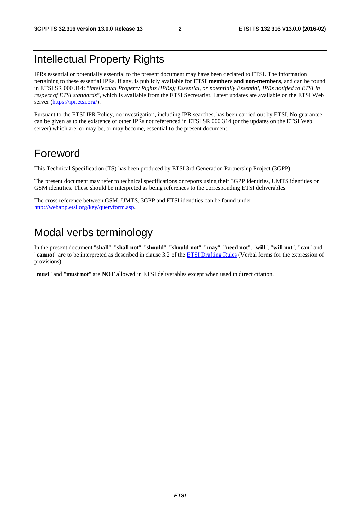### Intellectual Property Rights

IPRs essential or potentially essential to the present document may have been declared to ETSI. The information pertaining to these essential IPRs, if any, is publicly available for **ETSI members and non-members**, and can be found in ETSI SR 000 314: *"Intellectual Property Rights (IPRs); Essential, or potentially Essential, IPRs notified to ETSI in respect of ETSI standards"*, which is available from the ETSI Secretariat. Latest updates are available on the ETSI Web server [\(https://ipr.etsi.org/\)](https://ipr.etsi.org/).

Pursuant to the ETSI IPR Policy, no investigation, including IPR searches, has been carried out by ETSI. No guarantee can be given as to the existence of other IPRs not referenced in ETSI SR 000 314 (or the updates on the ETSI Web server) which are, or may be, or may become, essential to the present document.

### Foreword

This Technical Specification (TS) has been produced by ETSI 3rd Generation Partnership Project (3GPP).

The present document may refer to technical specifications or reports using their 3GPP identities, UMTS identities or GSM identities. These should be interpreted as being references to the corresponding ETSI deliverables.

The cross reference between GSM, UMTS, 3GPP and ETSI identities can be found under [http://webapp.etsi.org/key/queryform.asp.](http://webapp.etsi.org/key/queryform.asp)

### Modal verbs terminology

In the present document "**shall**", "**shall not**", "**should**", "**should not**", "**may**", "**need not**", "**will**", "**will not**", "**can**" and "**cannot**" are to be interpreted as described in clause 3.2 of the [ETSI Drafting Rules](http://portal.etsi.org/Help/editHelp!/Howtostart/ETSIDraftingRules.aspx) (Verbal forms for the expression of provisions).

"**must**" and "**must not**" are **NOT** allowed in ETSI deliverables except when used in direct citation.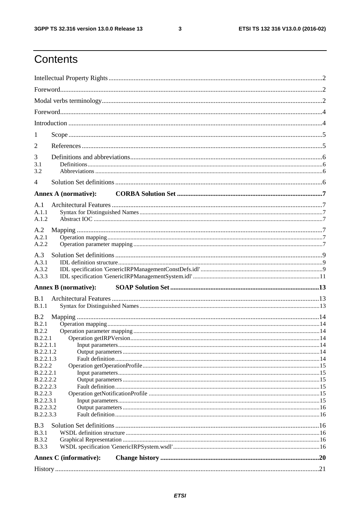$\mathbf{3}$ 

# Contents

| 1                      |                               |  |
|------------------------|-------------------------------|--|
| 2                      |                               |  |
|                        |                               |  |
| 3<br>3.1               |                               |  |
| 3.2                    |                               |  |
| $\overline{4}$         |                               |  |
|                        | <b>Annex A (normative):</b>   |  |
| A.1                    |                               |  |
| A.1.1<br>A.1.2         |                               |  |
|                        |                               |  |
| A.2<br>A.2.1           |                               |  |
| A.2.2                  |                               |  |
| A.3                    |                               |  |
| A.3.1                  |                               |  |
| A.3.2                  |                               |  |
| A.3.3                  |                               |  |
|                        | <b>Annex B</b> (normative):   |  |
| B.1                    |                               |  |
| B.1.1                  |                               |  |
| B.2                    |                               |  |
| B.2.1                  |                               |  |
| B.2.2                  |                               |  |
| B.2.2.1<br>B.2.2.1.1   |                               |  |
| B.2.2.1.2              |                               |  |
| B.2.2.1.3              |                               |  |
| <b>B.2.2.2</b>         |                               |  |
| <b>B.2.2.2.1</b>       |                               |  |
| <b>B.2.2.2.2</b>       |                               |  |
| B.2.2.2.3              |                               |  |
| <b>B.2.2.3</b>         |                               |  |
| <b>B.2.2.3.1</b>       |                               |  |
| B.2.2.3.2<br>B.2.2.3.3 |                               |  |
|                        |                               |  |
| B.3                    |                               |  |
| <b>B.3.1</b>           |                               |  |
| <b>B.3.2</b>           |                               |  |
| <b>B.3.3</b>           |                               |  |
|                        | <b>Annex C</b> (informative): |  |
|                        |                               |  |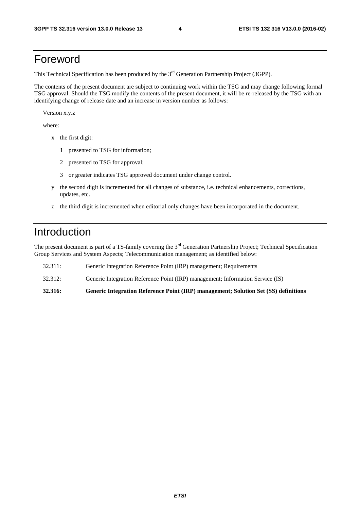### Foreword

This Technical Specification has been produced by the 3<sup>rd</sup> Generation Partnership Project (3GPP).

The contents of the present document are subject to continuing work within the TSG and may change following formal TSG approval. Should the TSG modify the contents of the present document, it will be re-released by the TSG with an identifying change of release date and an increase in version number as follows:

Version x.y.z

where:

- x the first digit:
	- 1 presented to TSG for information;
	- 2 presented to TSG for approval;
	- 3 or greater indicates TSG approved document under change control.
- y the second digit is incremented for all changes of substance, i.e. technical enhancements, corrections, updates, etc.
- z the third digit is incremented when editorial only changes have been incorporated in the document.

### Introduction

The present document is part of a TS-family covering the 3<sup>rd</sup> Generation Partnership Project; Technical Specification Group Services and System Aspects; Telecommunication management; as identified below:

32.311: Generic Integration Reference Point (IRP) management; Requirements 32.312: Generic Integration Reference Point (IRP) management; Information Service (IS)

**32.316: Generic Integration Reference Point (IRP) management; Solution Set (SS) definitions**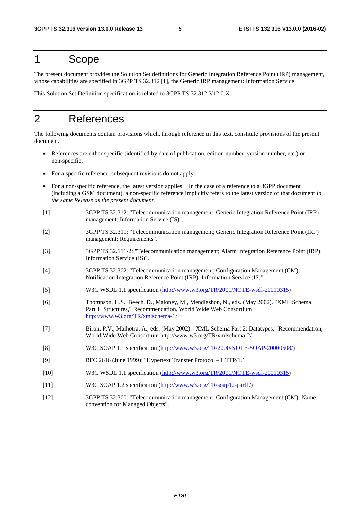### 1 Scope

The present document provides the Solution Set definitions for Generic Integration Reference Point (IRP) management, whose capabilities are specified in 3GPP TS 32.312 [1], the Generic IRP management: Information Service.

This Solution Set Definition specification is related to 3GPP TS 32.312 V12.0.X.

### 2 References

The following documents contain provisions which, through reference in this text, constitute provisions of the present document.

- References are either specific (identified by date of publication, edition number, version number, etc.) or non-specific.
- For a specific reference, subsequent revisions do not apply.
- For a non-specific reference, the latest version applies. In the case of a reference to a 3GPP document (including a GSM document), a non-specific reference implicitly refers to the latest version of that document *in the same Release as the present document*.
- [1] 3GPP TS 32.312: "Telecommunication management; Generic Integration Reference Point (IRP) management: Information Service (IS)".
- [2] 3GPP TS 32.311: "Telecommunication management; Generic Integration Reference Point (IRP) management; Requirements".
- [3] 3GPP TS 32.111-2: "Telecommunication management; Alarm Integration Reference Point (IRP); Information Service (IS)".
- [4] 3GPP TS 32.302: "Telecommunication management; Configuration Management (CM); Notification Integration Reference Point (IRP): Information Service (IS)".
- [5] W3C WSDL 1.1 specification [\(http://www.w3.org/TR/2001/NOTE-wsdl-20010315](http://www.w3.org/TR/2001/NOTE-wsdl-20010315))
- [6] Thompson, H.S., Beech, D., Maloney, M., Mendleshon, N., eds. (May 2002). "XML Schema Part 1: Structures," Recommendation, World Wide Web Consortium <http://www.w3.org/TR/xmlschema-1/>
- [7] Biron, P.V., Malhotra, A., eds. (May 2002). "XML Schema Part 2: Datatypes," Recommendation, World Wide Web Consortium http://www.w3.org/TR/xmlschema-2/
- [8] W3C SOAP 1.1 specification [\(http://www.w3.org/TR/2000/NOTE-SOAP-20000508/](http://www.w3.org/TR/2000/NOTE-SOAP-20000508/))
- [9] RFC 2616 (June 1999): "Hypertext Transfer Protocol HTTP/1.1"
- [10] W3C WSDL 1.1 specification [\(http://www.w3.org/TR/2001/NOTE-wsdl-20010315](http://www.w3.org/TR/wsdl))
- [11] W3C SOAP 1.2 specification [\(http://www.w3.org/TR/soap12-part1/](http://www.w3.org/TR/soap12-part1/))
- [12] 3GPP TS 32.300: "Telecommunication management; Configuration Management (CM); Name convention for Managed Objects".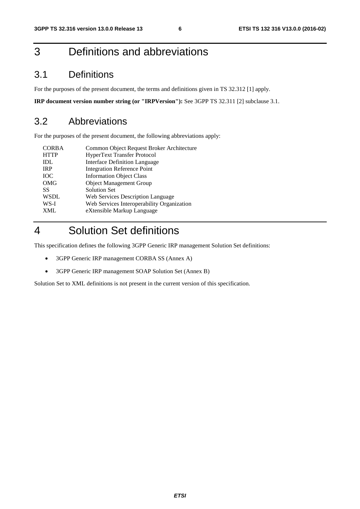# 3 Definitions and abbreviations

### 3.1 Definitions

For the purposes of the present document, the terms and definitions given in TS 32.312 [1] apply.

**IRP document version number string (or "IRPVersion"):** See 3GPP TS 32.311 [2] subclause 3.1.

#### 3.2 Abbreviations

For the purposes of the present document, the following abbreviations apply:

| <b>CORBA</b> | Common Object Request Broker Architecture  |
|--------------|--------------------------------------------|
| <b>HTTP</b>  | <b>HyperText Transfer Protocol</b>         |
| <b>IDL</b>   | <b>Interface Definition Language</b>       |
| <b>IRP</b>   | <b>Integration Reference Point</b>         |
| <b>IOC</b>   | <b>Information Object Class</b>            |
| <b>OMG</b>   | <b>Object Management Group</b>             |
| <b>SS</b>    | <b>Solution Set</b>                        |
| <b>WSDL</b>  | Web Services Description Language          |
| WS-I         | Web Services Interoperability Organization |
| <b>XML</b>   | eXtensible Markup Language                 |
|              |                                            |

### 4 Solution Set definitions

This specification defines the following 3GPP Generic IRP management Solution Set definitions:

- 3GPP Generic IRP management CORBA SS (Annex A)
- 3GPP Generic IRP management SOAP Solution Set (Annex B)

Solution Set to XML definitions is not present in the current version of this specification.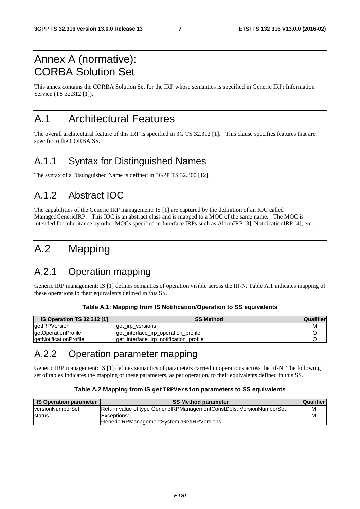### Annex A (normative): CORBA Solution Set

This annex contains the CORBA Solution Set for the IRP whose semantics is specified in Generic IRP: Information Service (TS 32.312 [1]).

### A.1 Architectural Features

The overall architectural feature of this IRP is specified in 3G TS 32.312 [1]. This clause specifies features that are specific to the CORBA SS.

### A.1.1 Syntax for Distinguished Names

The syntax of a Distinguished Name is defined in 3GPP TS 32.300 [12].

### A.1.2 Abstract IOC

The capabilities of the Generic IRP management: IS [1] are captured by the definition of an IOC called ManagedGenericIRP. This IOC is an abstract class and is mapped to a MOC of the same name. The MOC is intended for inheritance by other MOCs specified in Interface IRPs such as AlarmIRP [3], NotificationIRP [4], etc.

# A.2 Mapping

### A.2.1 Operation mapping

Generic IRP management: IS [1] defines semantics of operation visible across the Itf-N. Table A.1 indicates mapping of these operations to their equivalents defined in this SS.

| <b>IS Operation TS 32.312 [1]</b> | <b>SS Method</b>                       | <b>Qualifier</b> |
|-----------------------------------|----------------------------------------|------------------|
| getIRPVersion                     | get irp versions                       | м                |
| getOperationProfile               | get interface irp operation profile    |                  |
| getNotificationProfile            | get_interface_irp_notification_profile |                  |

### A.2.2 Operation parameter mapping

Generic IRP management: IS [1] defines semantics of parameters carried in operations across the Itf-N. The following set of tables indicates the mapping of these parameters, as per operation, to their equivalents defined in this SS.

#### **Table A.2 Mapping from IS getIRPVersion parameters to SS equivalents**

| <b>IS Operation parameter</b> | SS Method parameter                                                          | <b>Qualifier</b> |
|-------------------------------|------------------------------------------------------------------------------|------------------|
| <b>IversionNumberSet</b>      | <b>Return value of type GenericIRPManagementConstDefs:: VersionNumberSet</b> | м                |
| <b>Istatus</b>                | Exceptions:                                                                  | М                |
|                               | GenericIRPManagementSystem::GetIRPVersions                                   |                  |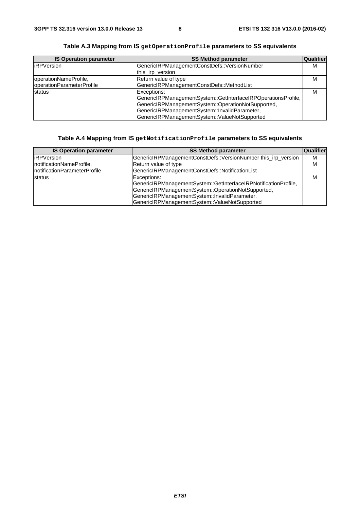| <b>IS Operation parameter</b> | <b>SS Method parameter</b>                                    | Qualifier |
|-------------------------------|---------------------------------------------------------------|-----------|
| <b>iRPVersion</b>             | GenericIRPManagementConstDefs::VersionNumber                  | M         |
|                               | this_irp_version                                              |           |
| operationNameProfile,         | Return value of type                                          | м         |
| operationParameterProfile     | GenericIRPManagementConstDefs::MethodList                     |           |
| status                        | Exceptions:                                                   | M         |
|                               | GenericIRPManagementSystem::GetInterfaceIRPOperationsProfile, |           |
|                               | GenericIRPManagementSystem::OperationNotSupported,            |           |
|                               | GenericIRPManagementSystem::InvalidParameter,                 |           |
|                               | GenericIRPManagementSystem::ValueNotSupported                 |           |

**Table A.3 Mapping from IS getOperationProfile parameters to SS equivalents** 

#### **Table A.4 Mapping from IS getNotificationProfile parameters to SS equivalents**

| <b>IS Operation parameter</b> | <b>SS Method parameter</b>                                                                                                                                                                                                             | Qualifier |
|-------------------------------|----------------------------------------------------------------------------------------------------------------------------------------------------------------------------------------------------------------------------------------|-----------|
| <b>liRPVersion</b>            | GenericIRPManagementConstDefs::VersionNumber this_irp_version                                                                                                                                                                          | M         |
| InotificationNameProfile,     | Return value of type                                                                                                                                                                                                                   | м         |
| InotificationParameterProfile | GenericIRPManagementConstDefs::NotificationList                                                                                                                                                                                        |           |
| <b>Istatus</b>                | Exceptions:<br>GenericIRPManagementSystem::GetInterfaceIRPNotificationProfile,<br>GenericIRPManagementSystem::OperationNotSupported,<br>GenericIRPManagementSystem::InvalidParameter,<br>GenericIRPManagementSystem::ValueNotSupported |           |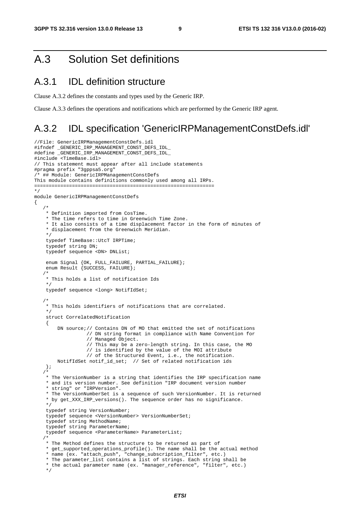### A.3 Solution Set definitions

#### A.3.1 IDL definition structure

Clause A.3.2 defines the constants and types used by the Generic IRP.

Clause A.3.3 defines the operations and notifications which are performed by the Generic IRP agent.

#### A.3.2 IDL specification 'GenericIRPManagementConstDefs.idl'

```
//File: GenericIRPManagementConstDefs.idl 
#ifndef _GENERIC_IRP_MANAGEMENT_CONST_DEFS_IDL_ 
#define _GENERIC_IRP_MANAGEMENT_CONST_DEFS_IDL_ 
#include <TimeBase.idl> 
// This statement must appear after all include statements 
#pragma prefix "3gppsa5.org" 
/* ## Module: GenericIRPManagementConstDefs 
This module contains definitions commonly used among all IRPs. 
============================================================== 
*/ 
module GenericIRPManagementConstDefs 
{ 
    /* 
     * Definition imported from CosTime. 
     * The time refers to time in Greenwich Time Zone. 
     * It also consists of a time displacement factor in the form of minutes of 
     * displacement from the Greenwich Meridian. 
     */ 
     typedef TimeBase::UtcT IRPTime; 
     typedef string DN; 
     typedef sequence <DN> DNList; 
     enum Signal {OK, FULL_FAILURE, PARTIAL_FAILURE}; 
     enum Result {SUCCESS, FAILURE}; 
/ *
     * This holds a list of notification Ids 
     */ 
     typedef sequence <long> NotifIdSet; 
/ *
     * This holds identifiers of notifications that are correlated. 
     */ 
     struct CorrelatedNotification 
    \left\{ \right.DN source;// Contains DN of MO that emitted the set of notifications
                    // DN string format in compliance with Name Convention for 
                    // Managed Object. 
                    // This may be a zero-length string. In this case, the MO 
                    // is identified by the value of the MOI attribute 
                    // of the Structured Event, i.e., the notification. 
         NotifIdSet notif_id_set; // Set of related notification ids 
     }; 
    /* 
     * The VersionNumber is a string that identifies the IRP specification name 
     * and its version number. See definition "IRP document version number 
     * string" or "IRPVersion". 
     * The VersionNumberSet is a sequence of such VersionNumber. It is returned 
     * by get_XXX_IRP_versions(). The sequence order has no significance. 
     */ 
     typedef string VersionNumber; 
     typedef sequence <VersionNumber> VersionNumberSet; 
     typedef string MethodName; 
     typedef string ParameterName; 
     typedef sequence <ParameterName> ParameterList; 
    /* 
    * The Method defines the structure to be returned as part of 
     * get_supported_operations_profile(). The name shall be the actual method 
     * name (ex. "attach_push", "change_subscription_filter", etc.) 
     * The parameter_list contains a list of strings. Each string shall be 
     * the actual parameter name (ex. "manager_reference", "filter", etc.) 
     */
```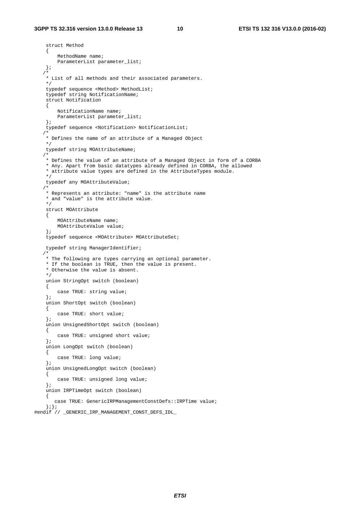```
 struct Method 
     { 
         MethodName name; 
         ParameterList parameter_list; 
     }; 
    /* 
     * List of all methods and their associated parameters. 
     */ 
     typedef sequence <Method> MethodList; 
     typedef string NotificationName; 
     struct Notification 
     { 
         NotificationName name; 
         ParameterList parameter_list; 
     }; 
     typedef sequence <Notification> NotificationList; 
/ *
     * Defines the name of an attribute of a Managed Object 
     */ 
     typedef string MOAttributeName; 
    /* 
     * Defines the value of an attribute of a Managed Object in form of a CORBA 
     * Any. Apart from basic datatypes already defined in CORBA, the allowed 
     * attribute value types are defined in the AttributeTypes module. 
     */ 
     typedef any MOAttributeValue; 
    /* 
     * Represents an attribute: "name" is the attribute name 
     * and "value" is the attribute value. 
     */ 
     struct MOAttribute 
     { 
         MOAttributeName name; 
         MOAttributeValue value; 
    \iota;
     typedef sequence <MOAttribute> MOAttributeSet; 
     typedef string ManagerIdentifier; 
   \prime * The following are types carrying an optional parameter. 
     * If the boolean is TRUE, then the value is present. 
     * Otherwise the value is absent. 
     */ 
     union StringOpt switch (boolean) 
     { 
         case TRUE: string value; 
     }; 
     union ShortOpt switch (boolean) 
     { 
         case TRUE: short value; 
     }; 
     union UnsignedShortOpt switch (boolean) 
     { 
         case TRUE: unsigned short value; 
     }; 
     union LongOpt switch (boolean) 
     { 
         case TRUE: long value; 
     }; 
     union UnsignedLongOpt switch (boolean) 
     { 
         case TRUE: unsigned long value; 
     }; 
     union IRPTimeOpt switch (boolean) 
     { 
        case TRUE: GenericIRPManagementConstDefs::IRPTime value; 
     };}; 
#endif // _GENERIC_IRP_MANAGEMENT_CONST_DEFS_IDL_
```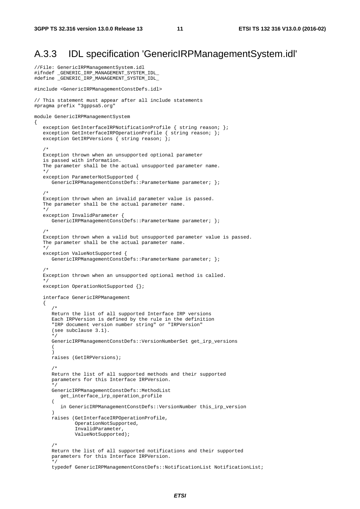//File: GenericIRPManagementSystem.idl

### A.3.3 IDL specification 'GenericIRPManagementSystem.idl'

```
#ifndef _GENERIC_IRP_MANAGEMENT_SYSTEM_IDL_ 
#define GENERIC IRP_MANAGEMENT_SYSTEM_IDL
#include <GenericIRPManagementConstDefs.idl> 
// This statement must appear after all include statements 
#pragma prefix "3gppsa5.org" 
module GenericIRPManagementSystem 
{ 
   exception GetInterfaceIRPNotificationProfile { string reason; };
exception GetInterfaceIRPOperationProfile { string reason; };
 exception GetIRPVersions { string reason; }; 
/ *
   Exception thrown when an unsupported optional parameter 
    is passed with information. 
    The parameter shall be the actual unsupported parameter name. 
    */ 
    exception ParameterNotSupported { 
      GenericIRPManagementConstDefs::ParameterName parameter; };
    /* 
    Exception thrown when an invalid parameter value is passed. 
    The parameter shall be the actual parameter name. 
    */ 
    exception InvalidParameter { 
     GenericIRPManagementConstDefs::ParameterName parameter; };
    /* 
    Exception thrown when a valid but unsupported parameter value is passed. 
   The parameter shall be the actual parameter name.
    */ 
    exception ValueNotSupported { 
      GenericIRPManagementConstDefs::ParameterName parameter; };
    /* 
    Exception thrown when an unsupported optional method is called. 
    */ 
   exception OperationNotSupported {};
    interface GenericIRPManagement 
    { 
 /* 
       Return the list of all supported Interface IRP versions 
       Each IRPVersion is defined by the rule in the definition 
       "IRP document version number string" or "IRPVersion" 
       (see subclause 3.1). 
       */ 
       GenericIRPManagementConstDefs::VersionNumberSet get_irp_versions 
       ( 
       ) 
       raises (GetIRPVersions); 
/ *
       Return the list of all supported methods and their supported 
       parameters for this Interface IRPVersion. 
       */ 
       GenericIRPManagementConstDefs::MethodList 
          get_interface_irp_operation_profile 
\overline{a} in GenericIRPManagementConstDefs::VersionNumber this_irp_version 
       ) 
       raises (GetInterfaceIRPOperationProfile, 
               OperationNotSupported, 
               InvalidParameter, 
               ValueNotSupported); 
       /* 
       Return the list of all supported notifications and their supported 
       parameters for this Interface IRPVersion. 
 */ 
      typedef GenericIRPManagementConstDefs::NotificationList NotificationList;
```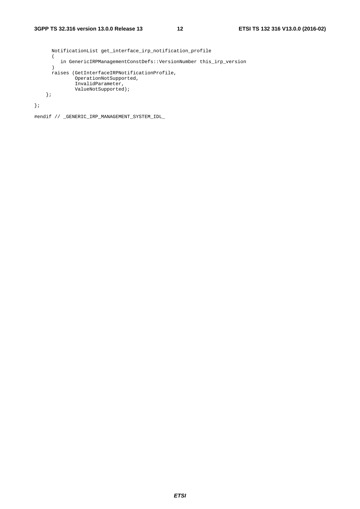```
 NotificationList get_interface_irp_notification_profile 
     \overline{(\ } in GenericIRPManagementConstDefs::VersionNumber this_irp_version 
      ) 
      raises (GetInterfaceIRPNotificationProfile, 
 OperationNotSupported, 
 InvalidParameter, 
              ValueNotSupported); 
    };
```
};

#endif // \_GENERIC\_IRP\_MANAGEMENT\_SYSTEM\_IDL\_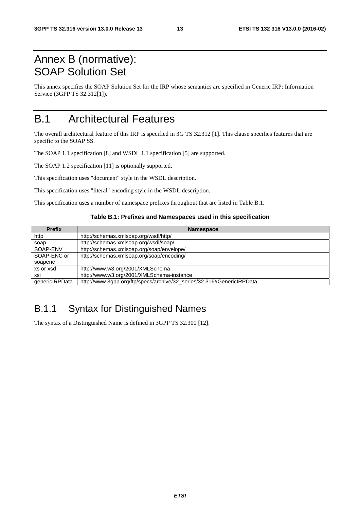### Annex B (normative): SOAP Solution Set

This annex specifies the SOAP Solution Set for the IRP whose semantics are specified in Generic IRP: Information Service (3GPP TS 32.312[1]).

### B.1 Architectural Features

The overall architectural feature of this IRP is specified in 3G TS 32.312 [1]. This clause specifies features that are specific to the SOAP SS.

The SOAP 1.1 specification [8] and WSDL 1.1 specification [5] are supported.

The SOAP 1.2 specification [11] is optionally supported.

This specification uses "document" style in the WSDL description.

This specification uses "literal" encoding style in the WSDL description.

This specification uses a number of namespace prefixes throughout that are listed in Table B.1.

#### **Table B.1: Prefixes and Namespaces used in this specification**

| <b>Prefix</b>  | <b>Namespace</b>                                                      |  |
|----------------|-----------------------------------------------------------------------|--|
| http           | http://schemas.xmlsoap.org/wsdl/http/                                 |  |
| soap           | http://schemas.xmlsoap.org/wsdl/soap/                                 |  |
| SOAP-ENV       | http://schemas.xmlsoap.org/soap/envelope/                             |  |
| SOAP-ENC or    | http://schemas.xmlsoap.org/soap/encoding/                             |  |
| soapenc        |                                                                       |  |
| xs or xsd      | http://www.w3.org/2001/XMLSchema                                      |  |
| xsi            | http://www.w3.org/2001/XMLSchema-instance                             |  |
| qenericIRPData | http://www.3gpp.org/ftp/specs/archive/32_series/32.316#GenericIRPData |  |

### B.1.1 Syntax for Distinguished Names

The syntax of a Distinguished Name is defined in 3GPP TS 32.300 [12].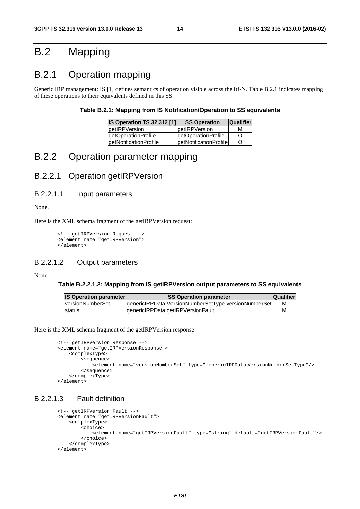## B.2 Mapping

### B.2.1 Operation mapping

Generic IRP management: IS [1] defines semantics of operation visible across the Itf-N. Table B.2.1 indicates mapping of these operations to their equivalents defined in this SS.

#### **Table B.2.1: Mapping from IS Notification/Operation to SS equivalents**

| <b>IS Operation TS 32.312 [1]</b> | <b>SS Operation</b>    | <b>Qualifier</b> |
|-----------------------------------|------------------------|------------------|
| getIRPVersion                     | qetIRPVersion          | м                |
| getOperationProfile               | getOperationProfile    | Ő                |
| <b>getNotificationProfile</b>     | qetNotificationProfile | Ő                |

### B.2.2 Operation parameter mapping

#### B.2.2.1 Operation getIRPVersion

#### B.2.2.1.1 Input parameters

None.

Here is the XML schema fragment of the getIRPVersion request:

```
<!-- getIRPVersion Request --> 
<element name="getIRPVersion"> 
</element>
```
#### B.2.2.1.2 Output parameters

None.

#### **Table B.2.2.1.2: Mapping from IS getIRPVersion output parameters to SS equivalents**

| <b>IS Operation parameter</b> | <b>SS Operation parameter</b>                         | <b>Qualifier</b> |
|-------------------------------|-------------------------------------------------------|------------------|
| <b>IversionNumberSet</b>      | genericIRPData: VersionNumberSetType versionNumberSet | м                |
| <b>Istatus</b>                | genericlRPData:getIRPVersionFault                     |                  |

Here is the XML schema fragment of the getIRPVersion response:

```
<!-- getIRPVersion Response --> 
<element name="getIRPVersionResponse"> 
     <complexType> 
         <sequence> 
             <element name="versionNumberSet" type="genericIRPData:VersionNumberSetType"/> 
         </sequence> 
     </complexType> 
</element>
```
#### B.2.2.1.3 Fault definition

```
<!-- getIRPVersion Fault -->
<element name="getIRPVersionFault"> 
     <complexType> 
         <choice> 
             <element name="getIRPVersionFault" type="string" default="getIRPVersionFault"/> 
         </choice> 
     </complexType> 
</element>
```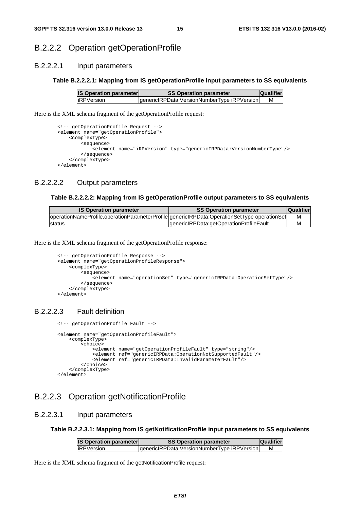#### B.2.2.2 Operation getOperationProfile

#### B.2.2.2.1 Input parameters

#### **Table B.2.2.2.1: Mapping from IS getOperationProfile input parameters to SS equivalents**

| <b>IS Operation parameter</b> | <b>SS Operation parameter</b>                | <b>Qualifier</b> |  |
|-------------------------------|----------------------------------------------|------------------|--|
| liRPVersion                   | genericIRPData: VersionNumberType iRPVersion | м                |  |

Here is the XML schema fragment of the getOperationProfile request:

```
<!-- getOperationProfile Request --> 
<element name="getOperationProfile"> 
     <complexType> 
         <sequence> 
             <element name="iRPVersion" type="genericIRPData:VersionNumberType"/> 
         </sequence> 
     </complexType> 
</element>
```
#### B.2.2.2.2 Output parameters

#### **Table B.2.2.2.2: Mapping from IS getOperationProfile output parameters to SS equivalents**

| <b>IS Operation parameter</b>                                                               | <b>SS Operation parameter</b>            | <b>Qualifier</b> |
|---------------------------------------------------------------------------------------------|------------------------------------------|------------------|
| operationNameProfile.operationParameterProfile genericIRPData:OperationSetType operationSet |                                          | м                |
| Istatus                                                                                     | IgenericIRPData:getOperationProfileFault | м                |

Here is the XML schema fragment of the getOperationProfile response:

```
<!-- getOperationProfile Response --> 
<element name="getOperationProfileResponse"> 
     <complexType> 
         <sequence> 
             <element name="operationSet" type="genericIRPData:OperationSetType"/> 
         </sequence> 
     </complexType> 
</element>
```
#### B.2.2.2.3 Fault definition

```
<!-- getOperationProfile Fault -->
 <element name="getOperationProfileFault"> 
     <complexType> 
         <choice> 
             <element name="getOperationProfileFault" type="string"/> 
             <element ref="genericIRPData:OperationNotSupportedFault"/> 
             <element ref="genericIRPData:InvalidParameterFault"/> 
         </choice> 
     </complexType> 
 </element>
```
#### B.2.2.3 Operation getNotificationProfile

#### B.2.2.3.1 Input parameters

**Table B.2.2.3.1: Mapping from IS getNotificationProfile input parameters to SS equivalents** 

| <b>IS Operation parameter</b> | <b>SS Operation parameter</b>                | <b>Qualifier</b> |  |
|-------------------------------|----------------------------------------------|------------------|--|
| liRPVersion                   | genericIRPData: VersionNumberType iRPVersion |                  |  |

Here is the XML schema fragment of the getNotificationProfile request: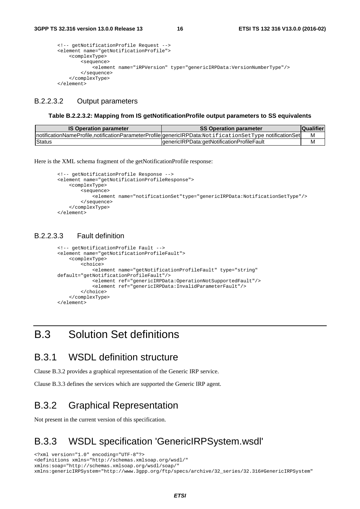```
<!-- getNotificationProfile Request --> 
<element name="getNotificationProfile"> 
     <complexType> 
         <sequence> 
             <element name="iRPVersion" type="genericIRPData:VersionNumberType"/> 
         </sequence> 
     </complexType> 
</element>
```
#### B.2.2.3.2 Output parameters

#### **Table B.2.2.3.2: Mapping from IS getNotificationProfile output parameters to SS equivalents**

| <b>IS Operation parameter</b> | <b>SS Operation parameter</b>                                                                            | <b>Qualifier</b> |
|-------------------------------|----------------------------------------------------------------------------------------------------------|------------------|
|                               | InotificationNameProfile,notificationParameterProfile genericlRPData:NotificationSetType notificationSet | м                |
| Status                        | IgenericIRPData:getNotificationProfileFault                                                              | М                |

Here is the XML schema fragment of the getNotificationProfile response:

```
<!-- getNotificationProfile Response --> 
<element name="getNotificationProfileResponse"> 
     <complexType> 
         <sequence> 
             <element name="notificationSet"type="genericIRPData:NotificationSetType"/> 
         </sequence> 
     </complexType> 
</element>
```
#### B.2.2.3.3 Fault definition

```
<!-- getNotificationProfile Fault -->
<element name="getNotificationProfileFault"> 
     <complexType> 
         <choice> 
             <element name="getNotificationProfileFault" type="string" 
default="getNotificationProfileFault"/> 
             <element ref="genericIRPData:OperationNotSupportedFault"/> 
             <element ref="genericIRPData:InvalidParameterFault"/> 
         </choice> 
     </complexType> 
</element>
```
### B.3 Solution Set definitions

#### B.3.1 WSDL definition structure

Clause B.3.2 provides a graphical representation of the Generic IRP service.

Clause B.3.3 defines the services which are supported the Generic IRP agent.

### B.3.2 Graphical Representation

Not present in the current version of this specification.

### B.3.3 WSDL specification 'GenericIRPSystem.wsdl'

<?xml version="1.0" encoding="UTF-8"?> <definitions xmlns="http://schemas.xmlsoap.org/wsdl/" xmlns:soap="http://schemas.xmlsoap.org/wsdl/soap/" xmlns:genericIRPSystem="http://www.3gpp.org/ftp/specs/archive/32\_series/32.316#GenericIRPSystem"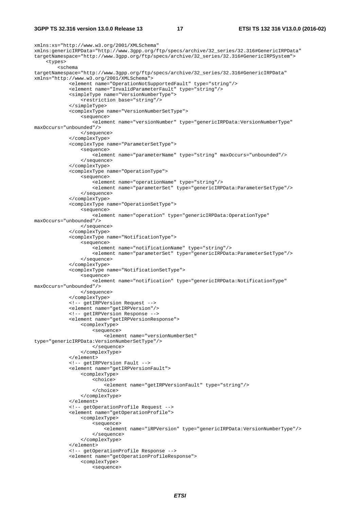#### **3GPP TS 32.316 version 13.0.0 Release 13 17 ETSI TS 132 316 V13.0.0 (2016-02)**

```
xmlns:xs="http://www.w3.org/2001/XMLSchema" 
xmlns:genericIRPData="http://www.3gpp.org/ftp/specs/archive/32_series/32.316#GenericIRPData" 
targetNamespace="http://www.3gpp.org/ftp/specs/archive/32_series/32.316#GenericIRPSystem"> 
     <types> 
         <schema 
targetNamespace="http://www.3gpp.org/ftp/specs/archive/32_series/32.316#GenericIRPData" 
xmlns="http://www.w3.org/2001/XMLSchema"> 
              <element name="OperationNotSupportedFault" type="string"/> 
              <element name="InvalidParameterFault" type="string"/> 
              <simpleType name="VersionNumberType"> 
                  <restriction base="string"/> 
              </simpleType> 
              <complexType name="VersionNumberSetType"> 
                  <sequence> 
                      <element name="versionNumber" type="genericIRPData:VersionNumberType" 
maxOccurs="unbounded"/> 
                  </sequence> 
              </complexType> 
              <complexType name="ParameterSetType"> 
                  <sequence> 
                     .<br>celement name="parameterName" type="string" maxOccurs="unbounded"/>
                  </sequence> 
              </complexType> 
              <complexType name="OperationType"> 
                  <sequence> 
                     .<br><element name="operationName" type="string"/>
                      <element name="parameterSet" type="genericIRPData:ParameterSetType"/> 
                  </sequence> 
              </complexType> 
              <complexType name="OperationSetType"> 
                  <sequence> 
                      <element name="operation" type="genericIRPData:OperationType" 
maxOccurs="unbounded"/> 
                  </sequence> 
              </complexType> 
              <complexType name="NotificationType"> 
                  <sequence> 
                      .<br><element name="notificationName" type="string"/>
                      <element name="parameterSet" type="genericIRPData:ParameterSetType"/> 
                  </sequence> 
              </complexType> 
              <complexType name="NotificationSetType"> 
                  <sequence> 
                      <element name="notification" type="genericIRPData:NotificationType" 
maxOccurs="unbounded"/> 
                  </sequence> 
              </complexType> 
              <!-- getIRPVersion Request --> 
              <element name="getIRPVersion"/> 
              <!-- getIRPVersion Response --> 
              <element name="getIRPVersionResponse"> 
                  <complexType> 
                      <sequence> 
                           <element name="versionNumberSet" 
type="genericIRPData:VersionNumberSetType"/> 
                      </sequence> 
                  </complexType> 
              </element> 
              <!-- getIRPVersion Fault --> 
              <element name="getIRPVersionFault"> 
                  <complexType> 
                      <choice> 
                           <element name="getIRPVersionFault" type="string"/> 
                      </choice> 
                  </complexType> 
              </element> 
              <!-- getOperationProfile Request --> 
              <element name="getOperationProfile"> 
                  <complexType> 
                      <sequence> 
                           <element name="iRPVersion" type="genericIRPData:VersionNumberType"/> 
                      </sequence> 
                  </complexType> 
              </element> 
              <!-- getOperationProfile Response --> 
              <element name="getOperationProfileResponse"> 
                  <complexType> 
                      <sequence>
```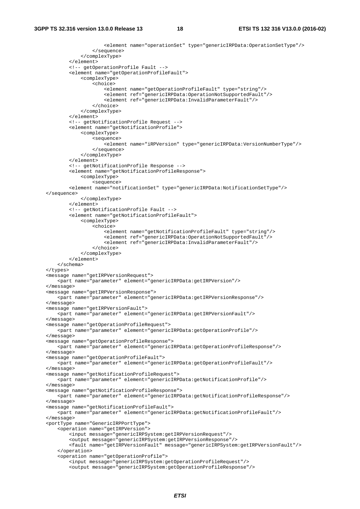```
 <element name="operationSet" type="genericIRPData:OperationSetType"/> 
                  </sequence> 
             </complexType> 
         </element> 
         <!-- getOperationProfile Fault --> 
         <element name="getOperationProfileFault"> 
              <complexType> 
                  <choice> 
                      <element name="getOperationProfileFault" type="string"/> 
                      <element ref="genericIRPData:OperationNotSupportedFault"/> 
                      <element ref="genericIRPData:InvalidParameterFault"/> 
                  </choice> 
             </complexType> 
         </element> 
         <!-- getNotificationProfile Request --> 
         <element name="getNotificationProfile"> 
              <complexType> 
                  <sequence> 
                      <element name="iRPVersion" type="genericIRPData:VersionNumberType"/> 
                 </sequence> 
             </complexType> 
         </element> 
         <!-- getNotificationProfile Response --> 
         <element name="getNotificationProfileResponse"> 
              <complexType> 
                 <sequence> 
         <element name="notificationSet" type="genericIRPData:NotificationSetType"/> 
 </sequence> 
              </complexType> 
        \epsilon/element>
         <!-- getNotificationProfile Fault --> 
         <element name="getNotificationProfileFault"> 
             <complexType> 
                  <choice> 
                      <element name="getNotificationProfileFault" type="string"/> 
                      <element ref="genericIRPData:OperationNotSupportedFault"/> 
                      <element ref="genericIRPData:InvalidParameterFault"/> 
                  </choice> 
             </complexType> 
         </element> 
     </schema> 
 </types> 
 <message name="getIRPVersionRequest"> 
     <part name="parameter" element="genericIRPData:getIRPVersion"/> 
 </message> 
 <message name="getIRPVersionResponse"> 
     <part name="parameter" element="genericIRPData:getIRPVersionResponse"/> 
 </message> 
 <message name="getIRPVersionFault"> 
     <part name="parameter" element="genericIRPData:getIRPVersionFault"/> 
 </message> 
 <message name="getOperationProfileRequest"> 
     <part name="parameter" element="genericIRPData:getOperationProfile"/> 
 </message> 
 <message name="getOperationProfileResponse"> 
     <part name="parameter" element="genericIRPData:getOperationProfileResponse"/> 
 </message> 
 <message name="getOperationProfileFault"> 
     <part name="parameter" element="genericIRPData:getOperationProfileFault"/> 
 </message> 
 <message name="getNotificationProfileRequest"> 
     <part name="parameter" element="genericIRPData:getNotificationProfile"/> 
 </message> 
 <message name="getNotificationProfileResponse"> 
     <part name="parameter" element="genericIRPData:getNotificationProfileResponse"/> 
 </message> 
 <message name="getNotificationProfileFault"> 
    <part name="parameter" element="genericIRPData:getNotificationProfileFault"/> 
 </message> 
 <portType name="GenericIRPPortType"> 
     <operation name="getIRPVersion"> 
         <input message="genericIRPSystem:getIRPVersionRequest"/> 
         <output message="genericIRPSystem:getIRPVersionResponse"/> 
         <fault name="getIRPVersionFault" message="genericIRPSystem:getIRPVersionFault"/> 
     </operation> 
     <operation name="getOperationProfile"> 
         <input message="genericIRPSystem:getOperationProfileRequest"/> 
         <output message="genericIRPSystem:getOperationProfileResponse"/>
```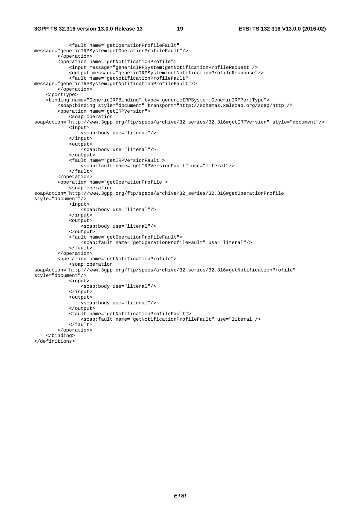```
 <fault name="getOperationProfileFault" 
message="genericIRPSystem:getOperationProfileFault"/> 
         </operation> 
         <operation name="getNotificationProfile"> 
              <input message="genericIRPSystem:getNotificationProfileRequest"/> 
              <output message="genericIRPSystem:getNotificationProfileResponse"/> 
              <fault name="getNotificationProfileFault" 
message="genericIRPSystem:getNotificationProfileFault"/> 
         </operation> 
     </portType> 
     <binding name="GenericIRPBinding" type="genericIRPSystem:GenericIRPPortType"> 
         <soap:binding style="document" transport="http://schemas.xmlsoap.org/soap/http"/> 
         <operation name="getIRPVersion"> 
              <soap:operation 
soapAction="http://www.3gpp.org/ftp/specs/archive/32_series/32.316#getIRPVersion" style="document"/> 
             <input> 
                  <soap:body use="literal"/> 
              </input> 
              <output> 
                  <soap:body use="literal"/> 
              </output> 
              <fault name="getIRPVersionFault"> 
                  <soap:fault name="getIRPVersionFault" use="literal"/> 
              </fault> 
         </operation> 
         <operation name="getOperationProfile"> 
              <soap:operation 
soapAction="http://www.3gpp.org/ftp/specs/archive/32_series/32.316#getOperationProfile"
style="document"/> 
             <input> 
                  <soap:body use="literal"/> 
              </input> 
              <output> 
                 -<br><soap:body use="literal"/>
              </output> 
              <fault name="getOperationProfileFault"> 
                 <soap:fault name="getOperationProfileFault" use="literal"/> 
              </fault> 
         </operation> 
         <operation name="getNotificationProfile"> 
              <soap:operation 
soapAction="http://www.3gpp.org/ftp/specs/archive/32_series/32.316#getNotificationProfile" 
style="document"/> 
              <input> 
                  <soap:body use="literal"/> 
              </input> 
              <output> 
                  <soap:body use="literal"/> 
              </output> 
              <fault name="getNotificationProfileFault"> 
                  <soap:fault name="getNotificationProfileFault" use="literal"/> 
             \epsilon/fault>
         </operation> 
     </binding> 
</definitions>
```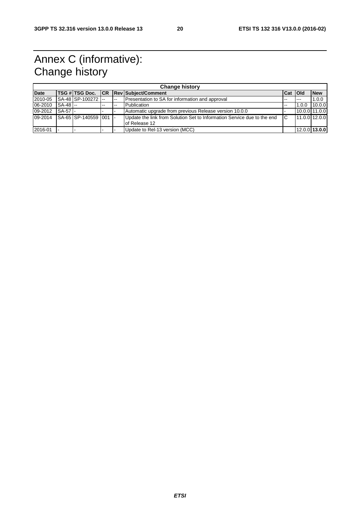# Annex C (informative): Change history

| <b>Change history</b> |          |                      |            |     |                                                                                          |       |            |                 |
|-----------------------|----------|----------------------|------------|-----|------------------------------------------------------------------------------------------|-------|------------|-----------------|
| <b>Date</b>           |          | TSG # TSG Doc.       | <b>ICR</b> |     | <b>Rev Subject/Comment</b>                                                               | l Cat | <b>Old</b> | <b>New</b>      |
| 2010-05               |          | ISA-48 SP-100272 I-- |            | $-$ | Presentation to SA for information and approval                                          | $- -$ | $- - -$    | 1.0.0           |
| 06-2010               | SA-48 -- |                      | --         | --  | Publication                                                                              | --    | 1.0.0      | 10.0.0          |
| 09-2012               | SA-57 -  |                      |            |     | Automatic upgrade from previous Release version 10.0.0                                   |       |            | 10.0.0 11.0.0   |
| 09-2014               |          | SA-65 SP-140559 001  |            |     | Update the link from Solution Set to Information Service due to the end<br>of Release 12 | IС    |            | 11.0.0 12.0.0   |
| 2016-01               |          |                      |            |     | Update to Rel-13 version (MCC)                                                           |       |            | $12.0.0$ 13.0.0 |